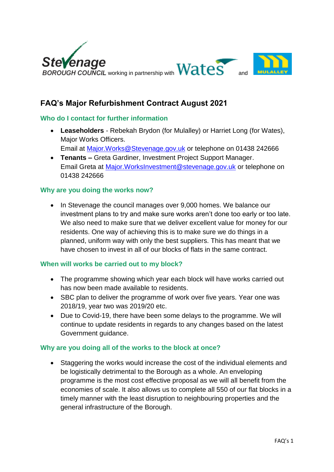

# **FAQ's Major Refurbishment Contract August 2021**

### **Who do I contact for further information**

- **Leaseholders**  Rebekah Brydon (for Mulalley) or Harriet Long (for Wates), Major Works Officers. Email at [Major.Works@Stevenage.gov.uk](mailto:Major.Works@Stevenage.gov.uk) or telephone on 01438 242666
- **Tenants –** Greta Gardiner, Investment Project Support Manager. Email Greta at [Major.WorksInvestment@stevenage.gov.uk](mailto:Major.WorksInvestment@stevenage.gov.uk) or telephone on 01438 242666

### **Why are you doing the works now?**

• In Stevenage the council manages over 9,000 homes. We balance our investment plans to try and make sure works aren't done too early or too late. We also need to make sure that we deliver excellent value for money for our residents. One way of achieving this is to make sure we do things in a planned, uniform way with only the best suppliers. This has meant that we have chosen to invest in all of our blocks of flats in the same contract.

### **When will works be carried out to my block?**

- The programme showing which year each block will have works carried out has now been made available to residents.
- SBC plan to deliver the programme of work over five years. Year one was 2018/19, year two was 2019/20 etc.
- Due to Covid-19, there have been some delays to the programme. We will continue to update residents in regards to any changes based on the latest Government guidance.

### **Why are you doing all of the works to the block at once?**

 Staggering the works would increase the cost of the individual elements and be logistically detrimental to the Borough as a whole. An enveloping programme is the most cost effective proposal as we will all benefit from the economies of scale. It also allows us to complete all 550 of our flat blocks in a timely manner with the least disruption to neighbouring properties and the general infrastructure of the Borough.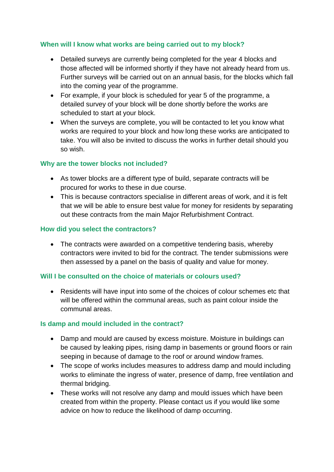### **When will I know what works are being carried out to my block?**

- Detailed surveys are currently being completed for the year 4 blocks and those affected will be informed shortly if they have not already heard from us. Further surveys will be carried out on an annual basis, for the blocks which fall into the coming year of the programme.
- For example, if your block is scheduled for year 5 of the programme, a detailed survey of your block will be done shortly before the works are scheduled to start at your block.
- When the surveys are complete, you will be contacted to let you know what works are required to your block and how long these works are anticipated to take. You will also be invited to discuss the works in further detail should you so wish.

### **Why are the tower blocks not included?**

- As tower blocks are a different type of build, separate contracts will be procured for works to these in due course.
- This is because contractors specialise in different areas of work, and it is felt that we will be able to ensure best value for money for residents by separating out these contracts from the main Major Refurbishment Contract.

### **How did you select the contractors?**

• The contracts were awarded on a competitive tendering basis, whereby contractors were invited to bid for the contract. The tender submissions were then assessed by a panel on the basis of quality and value for money.

### **Will I be consulted on the choice of materials or colours used?**

 Residents will have input into some of the choices of colour schemes etc that will be offered within the communal areas, such as paint colour inside the communal areas.

### **Is damp and mould included in the contract?**

- Damp and mould are caused by excess moisture. Moisture in buildings can be caused by leaking pipes, rising damp in basements or ground floors or rain seeping in because of damage to the roof or around window frames.
- The scope of works includes measures to address damp and mould including works to eliminate the ingress of water, presence of damp, free ventilation and thermal bridging.
- These works will not resolve any damp and mould issues which have been created from within the property. Please contact us if you would like some advice on how to reduce the likelihood of damp occurring.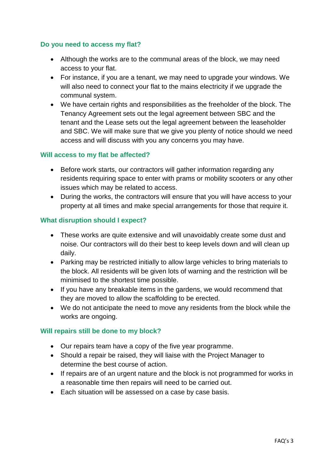### **Do you need to access my flat?**

- Although the works are to the communal areas of the block, we may need access to your flat.
- For instance, if you are a tenant, we may need to upgrade your windows. We will also need to connect your flat to the mains electricity if we upgrade the communal system.
- We have certain rights and responsibilities as the freeholder of the block. The Tenancy Agreement sets out the legal agreement between SBC and the tenant and the Lease sets out the legal agreement between the leaseholder and SBC. We will make sure that we give you plenty of notice should we need access and will discuss with you any concerns you may have.

### **Will access to my flat be affected?**

- Before work starts, our contractors will gather information regarding any residents requiring space to enter with prams or mobility scooters or any other issues which may be related to access.
- During the works, the contractors will ensure that you will have access to your property at all times and make special arrangements for those that require it.

### **What disruption should I expect?**

- These works are quite extensive and will unavoidably create some dust and noise. Our contractors will do their best to keep levels down and will clean up daily.
- Parking may be restricted initially to allow large vehicles to bring materials to the block. All residents will be given lots of warning and the restriction will be minimised to the shortest time possible.
- If you have any breakable items in the gardens, we would recommend that they are moved to allow the scaffolding to be erected.
- We do not anticipate the need to move any residents from the block while the works are ongoing.

### **Will repairs still be done to my block?**

- Our repairs team have a copy of the five year programme.
- Should a repair be raised, they will liaise with the Project Manager to determine the best course of action.
- If repairs are of an urgent nature and the block is not programmed for works in a reasonable time then repairs will need to be carried out.
- Each situation will be assessed on a case by case basis.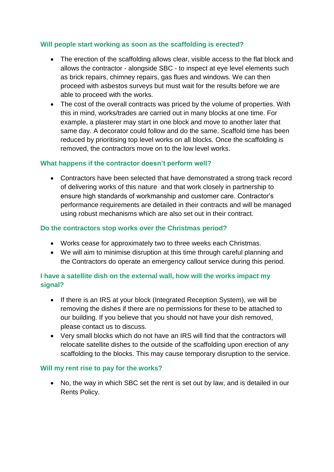## **Will people start working as soon as the scaffolding is erected?**

- The erection of the scaffolding allows clear, visible access to the flat block and allows the contractor - alongside SBC - to inspect at eye level elements such as brick repairs, chimney repairs, gas flues and windows. We can then proceed with asbestos surveys but must wait for the results before we are able to proceed with the works.
- The cost of the overall contracts was priced by the volume of properties. With this in mind, works/trades are carried out in many blocks at one time. For example, a plasterer may start in one block and move to another later that same day. A decorator could follow and do the same. Scaffold time has been reduced by prioritising top level works on all blocks. Once the scaffolding is removed, the contractors move on to the low level works.

## **What happens if the contractor doesn't perform well?**

 Contractors have been selected that have demonstrated a strong track record of delivering works of this nature and that work closely in partnership to ensure high standards of workmanship and customer care. Contractor's performance requirements are detailed in their contracts and will be managed using robust mechanisms which are also set out in their contract.

### **Do the contractors stop works over the Christmas period?**

- Works cease for approximately two to three weeks each Christmas.
- We will aim to minimise disruption at this time through careful planning and the Contractors do operate an emergency callout service during this period.

# **I have a satellite dish on the external wall, how will the works impact my signal?**

- If there is an IRS at your block (Integrated Reception System), we will be removing the dishes if there are no permissions for these to be attached to our building. If you believe that you should not have your dish removed, please contact us to discuss.
- Very small blocks which do not have an IRS will find that the contractors will relocate satellite dishes to the outside of the scaffolding upon erection of any scaffolding to the blocks. This may cause temporary disruption to the service.

### **Will my rent rise to pay for the works?**

• No, the way in which SBC set the rent is set out by law, and is detailed in our Rents Policy.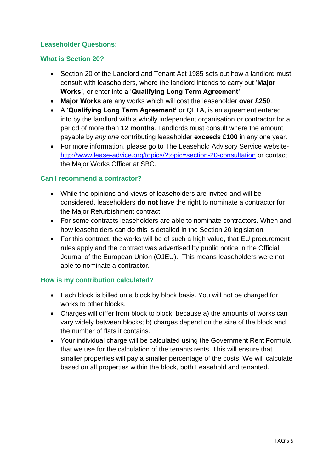### **Leaseholder Questions:**

### **What is Section 20?**

- Section 20 of the Landlord and Tenant Act 1985 sets out how a landlord must consult with leaseholders, where the landlord intends to carry out '**Major Works'**, or enter into a '**Qualifying Long Term Agreement'.**
- **Major Works** are any works which will cost the leaseholder **over £250**.
- A '**Qualifying Long Term Agreement'** or QLTA, is an agreement entered into by the landlord with a wholly independent organisation or contractor for a period of more than **12 months**. Landlords must consult where the amount payable by *any one* contributing leaseholder **exceeds £100** in any one year.
- For more information, please go to The Leasehold Advisory Service website<http://www.lease-advice.org/topics/?topic=section-20-consultation> or contact the Major Works Officer at SBC.

### **Can I recommend a contractor?**

- While the opinions and views of leaseholders are invited and will be considered, leaseholders **do not** have the right to nominate a contractor for the Major Refurbishment contract.
- For some contracts leaseholders are able to nominate contractors. When and how leaseholders can do this is detailed in the Section 20 legislation.
- For this contract, the works will be of such a high value, that EU procurement rules apply and the contract was advertised by public notice in the Official Journal of the European Union (OJEU). This means leaseholders were not able to nominate a contractor.

### **How is my contribution calculated?**

- Each block is billed on a block by block basis. You will not be charged for works to other blocks.
- Charges will differ from block to block, because a) the amounts of works can vary widely between blocks; b) charges depend on the size of the block and the number of flats it contains.
- Your individual charge will be calculated using the Government Rent Formula that we use for the calculation of the tenants rents. This will ensure that smaller properties will pay a smaller percentage of the costs. We will calculate based on all properties within the block, both Leasehold and tenanted.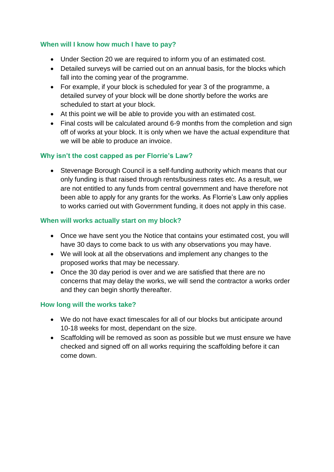## **When will I know how much I have to pay?**

- Under Section 20 we are required to inform you of an estimated cost.
- Detailed surveys will be carried out on an annual basis, for the blocks which fall into the coming year of the programme.
- For example, if your block is scheduled for year 3 of the programme, a detailed survey of your block will be done shortly before the works are scheduled to start at your block.
- At this point we will be able to provide you with an estimated cost.
- Final costs will be calculated around 6-9 months from the completion and sign off of works at your block. It is only when we have the actual expenditure that we will be able to produce an invoice.

## **Why isn't the cost capped as per Florrie's Law?**

• Stevenage Borough Council is a self-funding authority which means that our only funding is that raised through rents/business rates etc. As a result, we are not entitled to any funds from central government and have therefore not been able to apply for any grants for the works. As Florrie's Law only applies to works carried out with Government funding, it does not apply in this case.

## **When will works actually start on my block?**

- Once we have sent you the Notice that contains your estimated cost, you will have 30 days to come back to us with any observations you may have.
- We will look at all the observations and implement any changes to the proposed works that may be necessary.
- Once the 30 day period is over and we are satisfied that there are no concerns that may delay the works, we will send the contractor a works order and they can begin shortly thereafter.

### **How long will the works take?**

- We do not have exact timescales for all of our blocks but anticipate around 10-18 weeks for most, dependant on the size.
- Scaffolding will be removed as soon as possible but we must ensure we have checked and signed off on all works requiring the scaffolding before it can come down.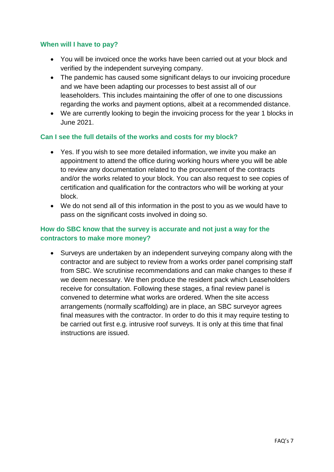### **When will I have to pay?**

- You will be invoiced once the works have been carried out at your block and verified by the independent surveying company.
- The pandemic has caused some significant delays to our invoicing procedure and we have been adapting our processes to best assist all of our leaseholders. This includes maintaining the offer of one to one discussions regarding the works and payment options, albeit at a recommended distance.
- We are currently looking to begin the invoicing process for the year 1 blocks in June 2021.

### **Can I see the full details of the works and costs for my block?**

- Yes. If you wish to see more detailed information, we invite you make an appointment to attend the office during working hours where you will be able to review any documentation related to the procurement of the contracts and/or the works related to your block. You can also request to see copies of certification and qualification for the contractors who will be working at your block.
- We do not send all of this information in the post to you as we would have to pass on the significant costs involved in doing so.

### **How do SBC know that the survey is accurate and not just a way for the contractors to make more money?**

 Surveys are undertaken by an independent surveying company along with the contractor and are subject to review from a works order panel comprising staff from SBC. We scrutinise recommendations and can make changes to these if we deem necessary. We then produce the resident pack which Leaseholders receive for consultation. Following these stages, a final review panel is convened to determine what works are ordered. When the site access arrangements (normally scaffolding) are in place, an SBC surveyor agrees final measures with the contractor. In order to do this it may require testing to be carried out first e.g. intrusive roof surveys. It is only at this time that final instructions are issued.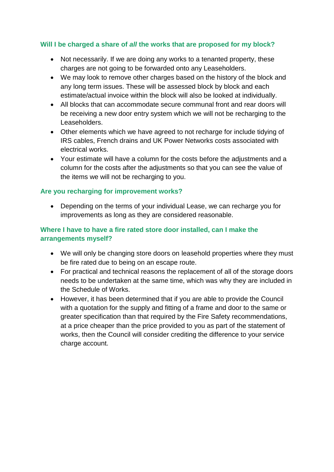### **Will I be charged a share of** *all* **the works that are proposed for my block?**

- Not necessarily. If we are doing any works to a tenanted property, these charges are not going to be forwarded onto any Leaseholders.
- We may look to remove other charges based on the history of the block and any long term issues. These will be assessed block by block and each estimate/actual invoice within the block will also be looked at individually.
- All blocks that can accommodate secure communal front and rear doors will be receiving a new door entry system which we will not be recharging to the Leaseholders.
- Other elements which we have agreed to not recharge for include tidying of IRS cables, French drains and UK Power Networks costs associated with electrical works.
- Your estimate will have a column for the costs before the adjustments and a column for the costs after the adjustments so that you can see the value of the items we will not be recharging to you.

### **Are you recharging for improvement works?**

 Depending on the terms of your individual Lease, we can recharge you for improvements as long as they are considered reasonable.

## **Where I have to have a fire rated store door installed, can I make the arrangements myself?**

- We will only be changing store doors on leasehold properties where they must be fire rated due to being on an escape route.
- For practical and technical reasons the replacement of all of the storage doors needs to be undertaken at the same time, which was why they are included in the Schedule of Works.
- However, it has been determined that if you are able to provide the Council with a quotation for the supply and fitting of a frame and door to the same or greater specification than that required by the Fire Safety recommendations, at a price cheaper than the price provided to you as part of the statement of works, then the Council will consider crediting the difference to your service charge account.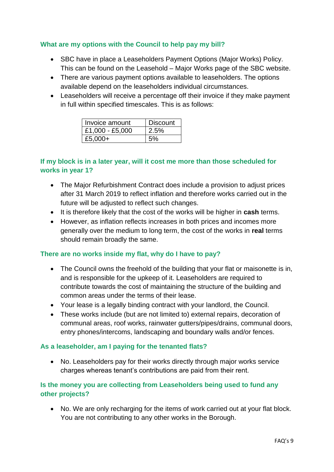### **What are my options with the Council to help pay my bill?**

- SBC have in place a Leaseholders Payment Options (Major Works) Policy. This can be found on the Leasehold – Major Works page of the SBC website.
- There are various payment options available to leaseholders. The options available depend on the leaseholders individual circumstances.
- Leaseholders will receive a percentage off their invoice if they make payment in full within specified timescales. This is as follows:

| Invoice amount  | <b>Discount</b> |
|-----------------|-----------------|
| £1,000 - £5,000 | 2.5%            |
| £5,000+         | 5%              |

## **If my block is in a later year, will it cost me more than those scheduled for works in year 1?**

- The Major Refurbishment Contract does include a provision to adjust prices after 31 March 2019 to reflect inflation and therefore works carried out in the future will be adjusted to reflect such changes.
- It is therefore likely that the cost of the works will be higher in **cash** terms.
- However, as inflation reflects increases in both prices and incomes more generally over the medium to long term, the cost of the works in **real** terms should remain broadly the same.

### **There are no works inside my flat, why do I have to pay?**

- The Council owns the freehold of the building that your flat or maisonette is in, and is responsible for the upkeep of it. Leaseholders are required to contribute towards the cost of maintaining the structure of the building and common areas under the terms of their lease.
- Your lease is a legally binding contract with your landlord, the Council.
- These works include (but are not limited to) external repairs, decoration of communal areas, roof works, rainwater gutters/pipes/drains, communal doors, entry phones/intercoms, landscaping and boundary walls and/or fences.

### **As a leaseholder, am I paying for the tenanted flats?**

• No. Leaseholders pay for their works directly through major works service charges whereas tenant's contributions are paid from their rent.

## **Is the money you are collecting from Leaseholders being used to fund any other projects?**

 No. We are only recharging for the items of work carried out at your flat block. You are not contributing to any other works in the Borough.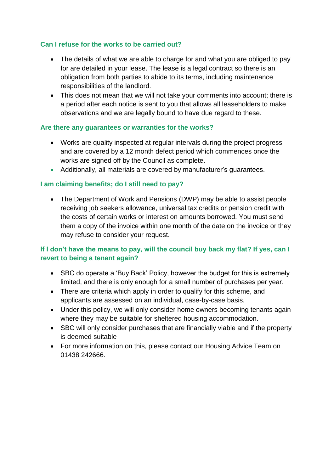## **Can I refuse for the works to be carried out?**

- The details of what we are able to charge for and what you are obliged to pay for are detailed in your lease. The lease is a legal contract so there is an obligation from both parties to abide to its terms, including maintenance responsibilities of the landlord.
- This does not mean that we will not take your comments into account; there is a period after each notice is sent to you that allows all leaseholders to make observations and we are legally bound to have due regard to these.

### **Are there any guarantees or warranties for the works?**

- Works are quality inspected at regular intervals during the project progress and are covered by a 12 month defect period which commences once the works are signed off by the Council as complete.
- Additionally, all materials are covered by manufacturer's guarantees.

## **I am claiming benefits; do I still need to pay?**

• The Department of Work and Pensions (DWP) may be able to assist people receiving job seekers allowance, universal tax credits or pension credit with the costs of certain works or interest on amounts borrowed. You must send them a copy of the invoice within one month of the date on the invoice or they may refuse to consider your request.

## **If I don't have the means to pay, will the council buy back my flat? If yes, can I revert to being a tenant again?**

- SBC do operate a 'Buy Back' Policy, however the budget for this is extremely limited, and there is only enough for a small number of purchases per year.
- There are criteria which apply in order to qualify for this scheme, and applicants are assessed on an individual, case-by-case basis.
- Under this policy, we will only consider home owners becoming tenants again where they may be suitable for sheltered housing accommodation.
- SBC will only consider purchases that are financially viable and if the property is deemed suitable
- For more information on this, please contact our Housing Advice Team on 01438 242666.